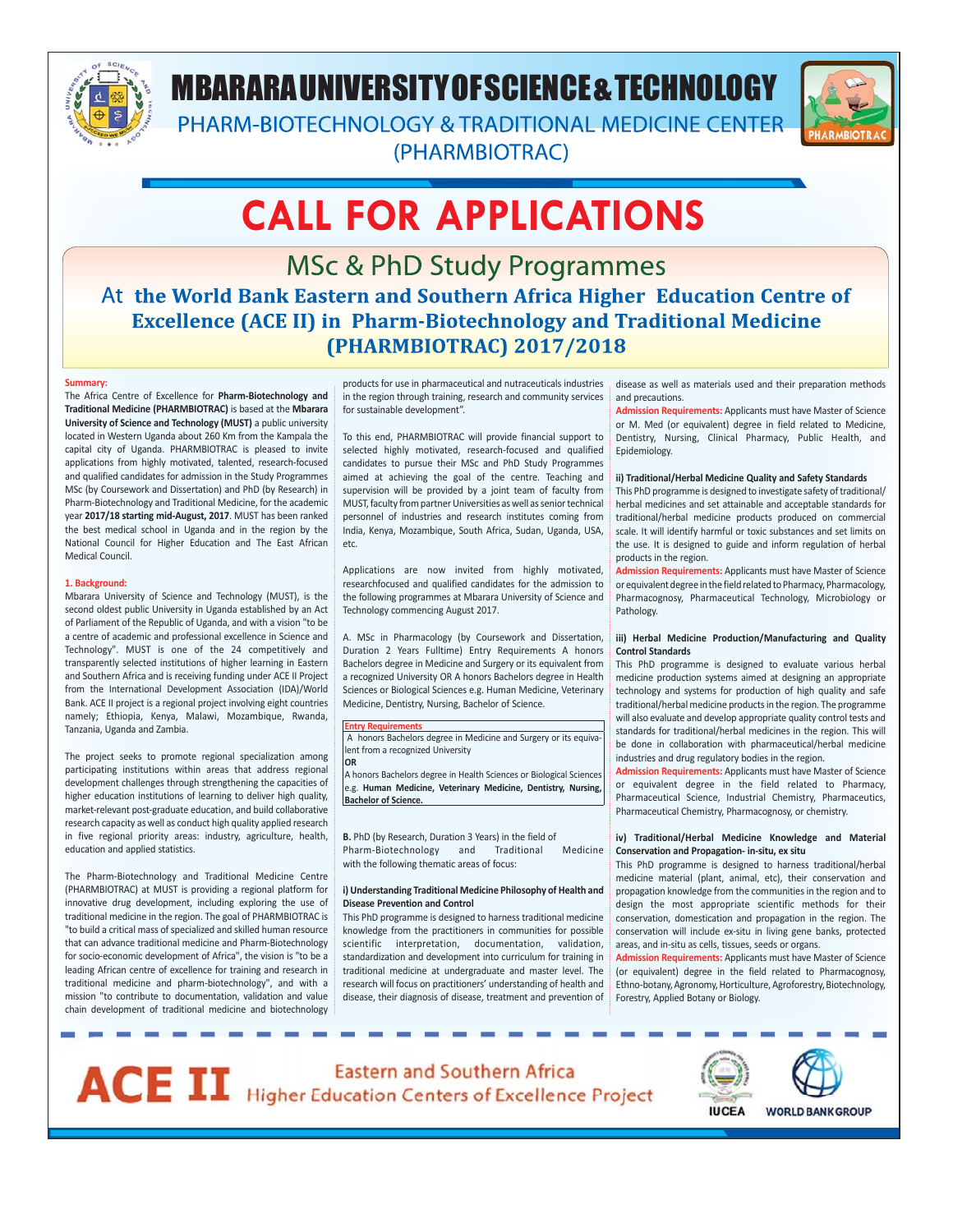

# MBARARA UNIVERSITY OF SCIENCE & TECHNOLOGY

PHARM-BIOTECHNOLOGY & TRADITIONAL MEDICINE CENTER (PHARMBIOTRAC)



# **CALL FOR APPLICATIONS**

**MSc & PhD Study Programmes** At the World Bank Eastern and Southern Africa Higher Education Centre of **Excellence (ACE II) in Pharm-Biotechnology and Traditional Medicine** (PHARMBIOTRAC) 2017/2018

# **Summary:**

The Africa Centre of Excellence for **Pharm-Biotechnology and Traditional Medicine (PHARMBIOTRAC)** is based at the **Mbarara University of Science and Technology (MUST)** a public university located in Western Uganda about 260 Km from the Kampala the capital city of Uganda. PHARMBIOTRAC is pleased to invite applications from highly motivated, talented, research-focused and qualified candidates for admission in the Study Programmes MSc (by Coursework and Dissertation) and PhD (by Research) in Pharm-Biotechnology and Traditional Medicine, for the academic year **2017/18 starting mid-August, 2017**. MUST has been ranked the best medical school in Uganda and in the region by the National Council for Higher Education and The East African Medical Council.

# **1. Background:**

Mbarara University of Science and Technology (MUST), is the second oldest public University in Uganda established by an Act of Parliament of the Republic of Uganda, and with a vision "to be a centre of academic and professional excellence in Science and Technology". MUST is one of the 24 competitively and transparently selected institutions of higher learning in Eastern and Southern Africa and is receiving funding under ACE II Project from the International Development Association (IDA)/World Bank. ACE II project is a regional project involving eight countries namely; Ethiopia, Kenya, Malawi, Mozambique, Rwanda, Tanzania, Uganda and Zambia.

The project seeks to promote regional specialization among participating institutions within areas that address regional development challenges through strengthening the capacities of higher education institutions of learning to deliver high quality, market-relevant post-graduate education, and build collaborative research capacity as well as conduct high quality applied research in five regional priority areas: industry, agriculture, health, education and applied statistics.

The Pharm-Biotechnology and Traditional Medicine Centre (PHARMBIOTRAC) at MUST is providing a regional platform for innovative drug development, including exploring the use of traditional medicine in the region. The goal of PHARMBIOTRAC is "to build a critical mass of specialized and skilled human resource that can advance traditional medicine and Pharm-Biotechnology for socio-economic development of Africa", the vision is "to be a leading African centre of excellence for training and research in traditional medicine and pharm-biotechnology", and with a mission "to contribute to documentation, validation and value chain development of traditional medicine and biotechnology

. . .

products for use in pharmaceutical and nutraceuticals industries in the region through training, research and community services for sustainable development".

To this end, PHARMBIOTRAC will provide financial support to selected highly motivated, research-focused and qualified candidates to pursue their MSc and PhD Study Programmes aimed at achieving the goal of the centre. Teaching and supervision will be provided by a joint team of faculty from MUST, faculty from partner Universities as well as senior technical personnel of industries and research institutes coming from India, Kenya, Mozambique, South Africa, Sudan, Uganda, USA, etc.

Applications are now invited from highly motivated, researchfocused and qualified candidates for the admission to the following programmes at Mbarara University of Science and Technology commencing August 2017.

A. MSc in Pharmacology (by Coursework and Dissertation, Duration 2 Years Fulltime) Entry Requirements A honors Bachelors degree in Medicine and Surgery or its equivalent from a recognized University OR A honors Bachelors degree in Health Sciences or Biological Sciences e.g. Human Medicine, Veterinary Medicine, Dentistry, Nursing, Bachelor of Science.

**Entry Requirements** A honors Bachelors degree in Medicine and Surgery or its equivalent from a recognized University **OR**

A honors Bachelors degree in Health Sciences or Biological Sciences e.g. **Human Medicine, Veterinary Medicine, Dentistry, Nursing, Bachelor of Science.** 

**B.** PhD (by Research, Duration 3 Years) in the field of Pharm-Biotechnology and Traditional Medicine with the following thematic areas of focus:

# **i) Understanding Traditional Medicine Philosophy of Health and Disease Prevention and Control**

This PhD programme is designed to harness traditional medicine knowledge from the practitioners in communities for possible scientific interpretation, documentation, validation, standardization and development into curriculum for training in traditional medicine at undergraduate and master level. The research will focus on practitioners' understanding of health and disease, their diagnosis of disease, treatment and prevention of disease as well as materials used and their preparation methods and precautions.

**Admission Requirements:** Applicants must have Master of Science or M. Med (or equivalent) degree in field related to Medicine, Dentistry, Nursing, Clinical Pharmacy, Public Health, and Epidemiology.

# **ii) Traditional/Herbal Medicine Quality and Safety Standards**

This PhD programme is designed to investigate safety of traditional/ herbal medicines and set attainable and acceptable standards for traditional/herbal medicine products produced on commercial scale. It will identify harmful or toxic substances and set limits on the use. It is designed to guide and inform regulation of herbal products in the region.

**Admission Requirements:** Applicants must have Master of Science or equivalent degree in the field related to Pharmacy, Pharmacology, Pharmacognosy, Pharmaceutical Technology, Microbiology or Pathology.

# **iii) Herbal Medicine Production/Manufacturing and Quality Control Standards**

This PhD programme is designed to evaluate various herbal medicine production systems aimed at designing an appropriate technology and systems for production of high quality and safe traditional/herbal medicine products in the region. The programme will also evaluate and develop appropriate quality control tests and standards for traditional/herbal medicines in the region. This will be done in collaboration with pharmaceutical/herbal medicine industries and drug regulatory bodies in the region.

**Admission Requirements:** Applicants must have Master of Science or equivalent degree in the field related to Pharmacy, Pharmaceutical Science, Industrial Chemistry, Pharmaceutics, Pharmaceutical Chemistry, Pharmacognosy, or chemistry.

# **iv) Traditional/Herbal Medicine Knowledge and Material Conservation and Propagation- in-situ, ex situ**

This PhD programme is designed to harness traditional/herbal medicine material (plant, animal, etc), their conservation and propagation knowledge from the communities in the region and to design the most appropriate scientific methods for their conservation, domestication and propagation in the region. The conservation will include ex-situ in living gene banks, protected areas, and in-situ as cells, tissues, seeds or organs.

**Admission Requirements:** Applicants must have Master of Science (or equivalent) degree in the field related to Pharmacognosy, Ethno-botany, Agronomy, Horticulture, Agroforestry, Biotechnology, Forestry, Applied Botany or Biology.





**WORLD BANK GROUP**